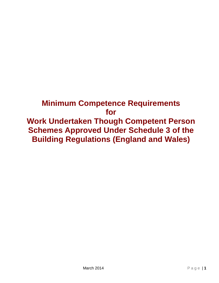# **Minimum Competence Requirements for Work Undertaken Though Competent Person Schemes Approved Under Schedule 3 of the Building Regulations (England and Wales)**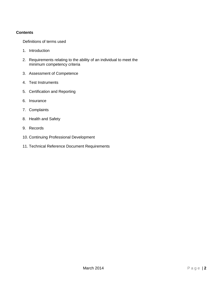## **Contents**

Definitions of terms used

- 1. Introduction
- 2. Requirements relating to the ability of an individual to meet the minimum competency criteria
- 3. Assessment of Competence
- 4. Test Instruments
- 5. Certification and Reporting
- 6. Insurance
- 7. Complaints
- 8. Health and Safety
- 9. Records
- 10. Continuing Professional Development
- 11. Technical Reference Document Requirements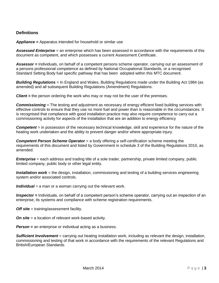# **Definitions**

*Appliance =* Apparatus intended for household or similar use

*Assessed Enterprise* = an enterprise which has been assessed in accordance with the requirements of this document as competent, and which possesses a current Assessment Certificate.

*Assessor =* Individuals, on behalf of a competent persons scheme operator, carrying out an assessment of a persons professional competence as defined by National Occupational Standards, or a recognised Standard Setting Body fuel specific pathway that has been adopted within this MTC document.

*Building Regulations* = In England and Wales, Building Regulations made under the Building Act 1984 (as amended) and all subsequent Building Regulations (Amendment) Regulations.

*Client =* the person ordering the work who may or may not be the user of the premises.

**Commissioning** = The testing and adjustment as necessary of energy efficient fixed building services with effective controls to ensure that they use no more fuel and power than is reasonable in the circumstances. It is recognised that compliance with good installation practice may also require competence to carry out a commissioning activity for aspects of the installation that are an addition to energy efficiency

*Competent* = in possession of the necessary technical knowledge, skill and experience for the nature of the heating work undertaken and the ability to prevent danger and/or where appropriate injury.

*Competent Person Scheme Operator* = a body offering a self-certification scheme meeting the requirements of this document and listed by Government in schedule 3 of the Building Regulations 2010, as amended.

*Enterprise* = each address and trading title of a sole trader, partnership, private limited company, public limited company, public body or other legal entity.

**Installation work** = the design, installation, commissioning and testing of a building services engineering system and/or associated controls.

*Individual* = a man or a woman carrying out the relevant work.

*Inspector =* Individuals, on behalf of a competent person's scheme operator, carrying out an inspection of an enterprise, its systems and compliance with scheme registration requirements.

*Off site* = training/assessment facility.

*On site* = a location of relevant work-based activity.

*Person* = an enterprise or individual acting as a business.

*Sufficient Involvement* = carrying out heating installation work, including as relevant the design, installation, commissioning and testing of that work in accordance with the requirements of the relevant Regulations and British/European Standards.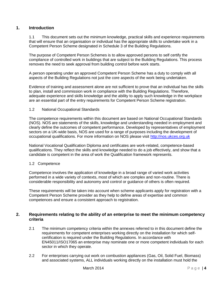# **1. Introduction**

1.1 This document sets out the minimum knowledge, practical skills and experience requirements that will ensure that an organisation or individual has the appropriate skills to undertake work in a Competent Person Scheme designated in Schedule 3 of the Building Regulations.

The purpose of Competent Person Schemes is to allow approved persons to self certify the compliance of controlled work in buildings that are subject to the Building Regulations. This process removes the need to seek approval from building control before work starts.

A person operating under an approved Competent Person Scheme has a duty to comply with all aspects of the Building Regulations not just the core aspects of the work being undertaken.

Evidence of training and assessment alone are not sufficient to prove that an individual has the skills to plan, install and commission work in compliance with the Building Regulations. Therefore, adequate experience and skills knowledge and the ability to apply such knowledge in the workplace are an essential part of the entry requirements for Competent Person Scheme registration.

#### 1.2 National Occupational Standards

The competence requirements within this document are based on National Occupational Standards (NOS). NOS are statements of the skills, knowledge and understanding needed in employment and clearly define the outcomes of competent performance. Developed by representatives of employment sectors on a UK-wide basis, NOS are used for a range of purposes including the development of occupational qualifications. For more information on NOS please visit [http://nos.ukces.org.uk](http://nos.ukces.org.uk/)

National Vocational Qualification Diploma and certificates are work-related, competence-based qualifications. They reflect the skills and knowledge needed to do a job effectively, and show that a candidate is competent in the area of work the Qualification framework represents.

#### 1.2 Competence

Competence involves the application of knowledge in a broad range of varied work activities performed in a wide variety of contexts, most of which are complex and non-routine. There is considerable responsibility and autonomy and control or guidance of others is often required.

These requirements will be taken into account when scheme applicants apply for registration with a Competent Person Scheme provider as they help to define areas of expertise and common competences and ensure a consistent approach to registration.

# **2. Requirements relating to the ability of an enterprise to meet the minimum competency criteria**

- 2.1 The minimum competency criteria within the annexes referred to in this document define the requirements for competent enterprises working directly on the installation for which selfcertification is required under the Building Regulations. In accordance with EN45011/ISO17065 an enterprise may nominate one or more competent individuals for each sector in which they operate.
- 2.2 For enterprises carrying out work on combustion appliances (Gas, Oil, Solid Fuel, Biomass) and associated systems, ALL individuals working directly on the installation must hold the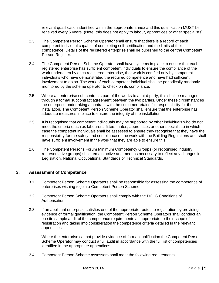relevant qualification identified within the appropriate annex and this qualification MUST be renewed every 5 years. (Note: this does not apply to labour, apprentices or other specialists).

- 2.3 The Competent Person Scheme Operator shall ensure that there is a record of each competent individual capable of completing self-certification and the limits of their competence. Details of the registered enterprise shall be published to the central Competent Person Register.
- 2.4 The Competent Person Scheme Operator shall have systems in place to ensure that each registered enterprise has sufficient competent individuals to ensure the compliance of the work undertaken by each registered enterprise, that work is certified only by competent individuals who have demonstrated the required competence and have had sufficient involvement to do so. The work of each competent individual shall be periodically randomly monitored by the scheme operator to check on its compliance.
- 2.5 Where an enterprise sub contracts part of the works to a third party, this shall be managed through a formal subcontract agreement between the two parties. Under these circumstances the enterprise undertaking a contract with the customer retains full responsibility for the installation. The Competent Person Scheme Operator shall ensure that the enterprise has adequate measures in place to ensure the integrity of the installation.
- 2.5 It is recognised that competent individuals may be supported by other individuals who do not meet the criteria (such as labourers, fitters mates, apprentices or other specialists) in which case the competent individuals shall be assessed to ensure they recognise that they have the responsibility for the safety and compliance of the work with the Building Regulations and shall have sufficient involvement in the work that they are able to ensure this.
- 2.6 The Competent Persons Forum Minimum Competency Groups (or recognised industry representative groups) shall remain active and meet as necessary to reflect any changes in Legislation, National Occupational Standards or Technical Standards.

# **3. Assessment of Competence**

- 3.1 Competent Person Scheme Operators shall be responsible for assessing the competence of enterprises wishing to join a Competent Person Scheme.
- 3.2 Competent Person Scheme Operators shall comply with the DCLG Conditions of Authorisation.
- 3.3 If an applicant enterprise satisfies one of the appropriate routes to registration by providing evidence of formal qualification, the Competent Person Scheme Operators shall conduct an on-site sample audit of the competence requirements as appropriate to their scope of registration and taking into consideration the competence criteria detailed in the relevant appendices.

Where the enterprise cannot provide evidence of formal qualification the Competent Person Scheme Operator may conduct a full audit in accordance with the full list of competencies identified in the appropriate appendices.

3.4 Competent Person Scheme assessors shall meet the following requirements: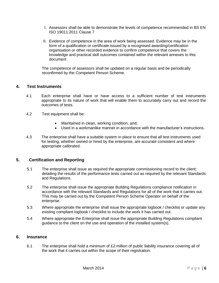- I. Assessors shall be able to demonstrate the levels of competence recommended in BS EN ISO 19011:2011 Clause 7
- II. Evidence of competence in the area of work being assessed. Evidence may be in the form of a qualification or certificate issued by a recognised awarding/certification organisation or other recorded evidence to confirm competence that covers the knowledge and practical skill outcomes contained within the relevant annexes to this document

The competence of assessors shall be updated on a regular basis and be periodically reconfirmed by the Competent Person Scheme.

## **4. Test Instruments**

- 4.1 Each enterprise shall have or have access to a sufficient number of test instruments appropriate to its nature of work that will enable them to accurately carry out and record the outcomes of tests.
- 4.2 Test equipment shall be:
	- Maintained in clean, working condition, and;
	- Used in a workmanlike manner in accordance with the manufacturer's instructions.
- 4.3 The enterprise shall have a suitable system in place to ensure that all test instruments used for testing, whether owned or hired by the enterprise, are accurate consistent and where appropriate calibrated.

# **5. Certification and Reporting**

- 5.1 The enterprise shall issue as required the appropriate commissioning record to the client; detailing the results of the performance tests carried out as required by the relevant Standards and Regulations.
- 5.2 The enterprise shall issue the appropriate Building Regulations compliance notification in accordance with the relevant Standards and Regulations for all of the work that it carries out. This may be carried out by the Competent Person Scheme Operator on behalf of the enterprise.
- 5.3 Where appropriate the enterprise shall issue the appropriate logbook / checklist or update any existing compliant logbook / checklist to include the work it has carried out.
- 5.4 Where appropriate the Enterprise shall issue the appropriate Building Regulations compliant guidance to the client on the use and operation of the installed system(s).

## **6. Insurance**

6.1 The enterprise shall hold a minimum of £2 million of public liability insurance covering all of the work that it carries out within the scope of their registration.